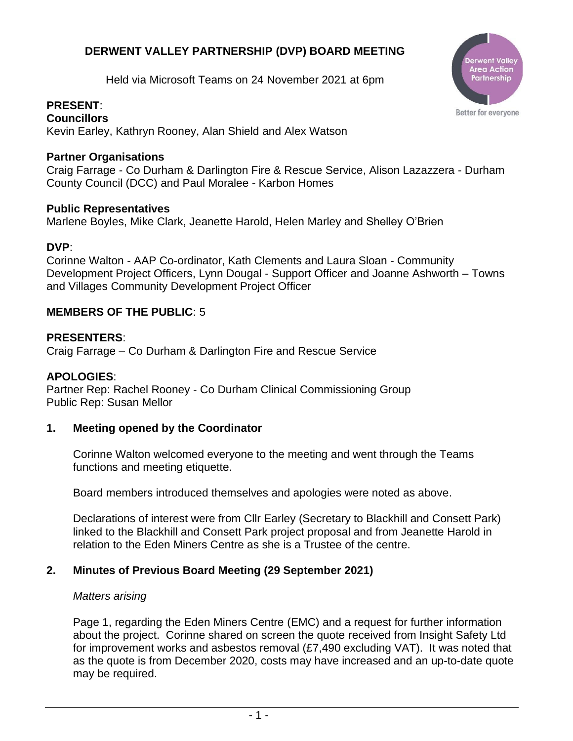# **DERWENT VALLEY PARTNERSHIP (DVP) BOARD MEETING**

Held via Microsoft Teams on 24 November 2021 at 6pm

# **PRESENT**:

**Councillors** Kevin Earley, Kathryn Rooney, Alan Shield and Alex Watson

## **Partner Organisations**

Craig Farrage - Co Durham & Darlington Fire & Rescue Service, Alison Lazazzera - Durham County Council (DCC) and Paul Moralee - Karbon Homes

#### **Public Representatives**

Marlene Boyles, Mike Clark, Jeanette Harold, Helen Marley and Shelley O'Brien

#### **DVP**:

Corinne Walton - AAP Co-ordinator, Kath Clements and Laura Sloan - Community Development Project Officers, Lynn Dougal - Support Officer and Joanne Ashworth – Towns and Villages Community Development Project Officer

#### **MEMBERS OF THE PUBLIC**: 5

#### **PRESENTERS**:

Craig Farrage – Co Durham & Darlington Fire and Rescue Service

#### **APOLOGIES**:

Partner Rep: Rachel Rooney - Co Durham Clinical Commissioning Group Public Rep: Susan Mellor

#### **1. Meeting opened by the Coordinator**

Corinne Walton welcomed everyone to the meeting and went through the Teams functions and meeting etiquette.

Board members introduced themselves and apologies were noted as above.

Declarations of interest were from Cllr Earley (Secretary to Blackhill and Consett Park) linked to the Blackhill and Consett Park project proposal and from Jeanette Harold in relation to the Eden Miners Centre as she is a Trustee of the centre.

# **2. Minutes of Previous Board Meeting (29 September 2021)**

#### *Matters arising*

Page 1, regarding the Eden Miners Centre (EMC) and a request for further information about the project. Corinne shared on screen the quote received from Insight Safety Ltd for improvement works and asbestos removal (£7,490 excluding VAT). It was noted that as the quote is from December 2020, costs may have increased and an up-to-date quote may be required.

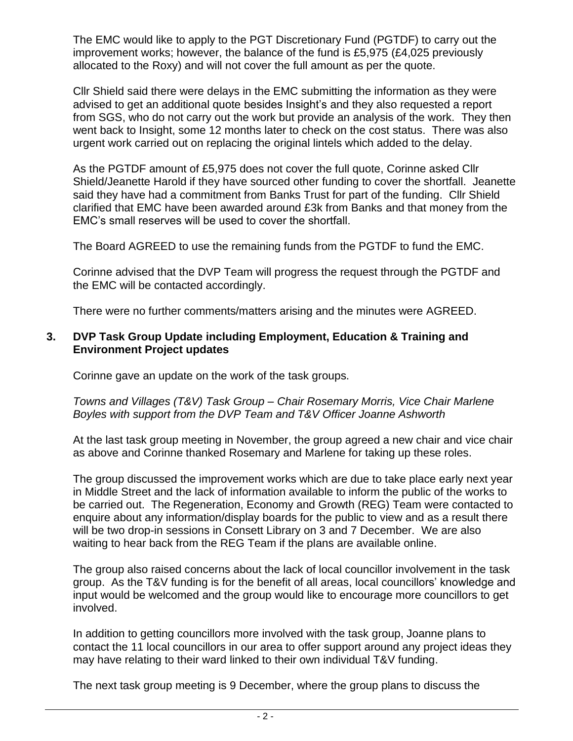The EMC would like to apply to the PGT Discretionary Fund (PGTDF) to carry out the improvement works; however, the balance of the fund is £5,975 (£4,025 previously allocated to the Roxy) and will not cover the full amount as per the quote.

Cllr Shield said there were delays in the EMC submitting the information as they were advised to get an additional quote besides Insight's and they also requested a report from SGS, who do not carry out the work but provide an analysis of the work. They then went back to Insight, some 12 months later to check on the cost status. There was also urgent work carried out on replacing the original lintels which added to the delay.

As the PGTDF amount of £5,975 does not cover the full quote, Corinne asked Cllr Shield/Jeanette Harold if they have sourced other funding to cover the shortfall. Jeanette said they have had a commitment from Banks Trust for part of the funding. Cllr Shield clarified that EMC have been awarded around £3k from Banks and that money from the EMC's small reserves will be used to cover the shortfall.

The Board AGREED to use the remaining funds from the PGTDF to fund the EMC.

Corinne advised that the DVP Team will progress the request through the PGTDF and the EMC will be contacted accordingly.

There were no further comments/matters arising and the minutes were AGREED.

## **3. DVP Task Group Update including Employment, Education & Training and Environment Project updates**

Corinne gave an update on the work of the task groups.

*Towns and Villages (T&V) Task Group – Chair Rosemary Morris, Vice Chair Marlene Boyles with support from the DVP Team and T&V Officer Joanne Ashworth*

At the last task group meeting in November, the group agreed a new chair and vice chair as above and Corinne thanked Rosemary and Marlene for taking up these roles.

The group discussed the improvement works which are due to take place early next year in Middle Street and the lack of information available to inform the public of the works to be carried out. The Regeneration, Economy and Growth (REG) Team were contacted to enquire about any information/display boards for the public to view and as a result there will be two drop-in sessions in Consett Library on 3 and 7 December. We are also waiting to hear back from the REG Team if the plans are available online.

The group also raised concerns about the lack of local councillor involvement in the task group. As the T&V funding is for the benefit of all areas, local councillors' knowledge and input would be welcomed and the group would like to encourage more councillors to get involved.

In addition to getting councillors more involved with the task group, Joanne plans to contact the 11 local councillors in our area to offer support around any project ideas they may have relating to their ward linked to their own individual T&V funding.

The next task group meeting is 9 December, where the group plans to discuss the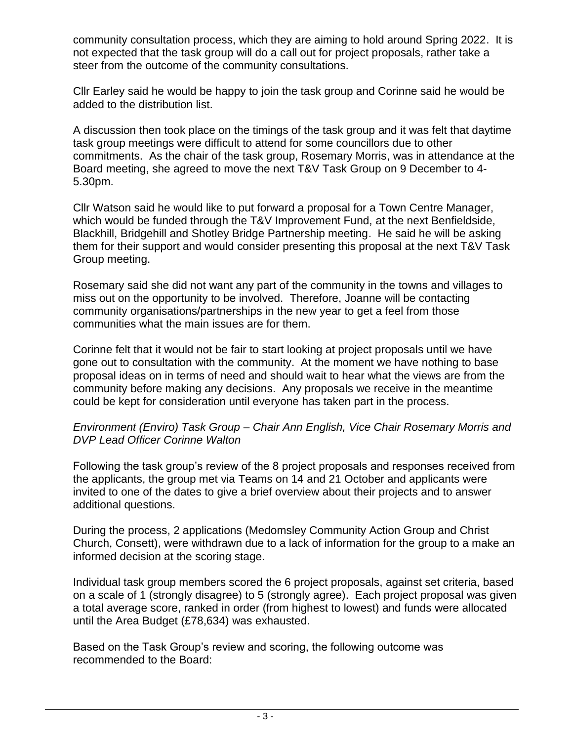community consultation process, which they are aiming to hold around Spring 2022. It is not expected that the task group will do a call out for project proposals, rather take a steer from the outcome of the community consultations.

Cllr Earley said he would be happy to join the task group and Corinne said he would be added to the distribution list.

A discussion then took place on the timings of the task group and it was felt that daytime task group meetings were difficult to attend for some councillors due to other commitments. As the chair of the task group, Rosemary Morris, was in attendance at the Board meeting, she agreed to move the next T&V Task Group on 9 December to 4- 5.30pm.

Cllr Watson said he would like to put forward a proposal for a Town Centre Manager, which would be funded through the T&V Improvement Fund, at the next Benfieldside, Blackhill, Bridgehill and Shotley Bridge Partnership meeting. He said he will be asking them for their support and would consider presenting this proposal at the next T&V Task Group meeting.

Rosemary said she did not want any part of the community in the towns and villages to miss out on the opportunity to be involved. Therefore, Joanne will be contacting community organisations/partnerships in the new year to get a feel from those communities what the main issues are for them.

Corinne felt that it would not be fair to start looking at project proposals until we have gone out to consultation with the community. At the moment we have nothing to base proposal ideas on in terms of need and should wait to hear what the views are from the community before making any decisions. Any proposals we receive in the meantime could be kept for consideration until everyone has taken part in the process.

## *Environment (Enviro) Task Group – Chair Ann English, Vice Chair Rosemary Morris and DVP Lead Officer Corinne Walton*

Following the task group's review of the 8 project proposals and responses received from the applicants, the group met via Teams on 14 and 21 October and applicants were invited to one of the dates to give a brief overview about their projects and to answer additional questions.

During the process, 2 applications (Medomsley Community Action Group and Christ Church, Consett), were withdrawn due to a lack of information for the group to a make an informed decision at the scoring stage.

Individual task group members scored the 6 project proposals, against set criteria, based on a scale of 1 (strongly disagree) to 5 (strongly agree). Each project proposal was given a total average score, ranked in order (from highest to lowest) and funds were allocated until the Area Budget (£78,634) was exhausted.

Based on the Task Group's review and scoring, the following outcome was recommended to the Board: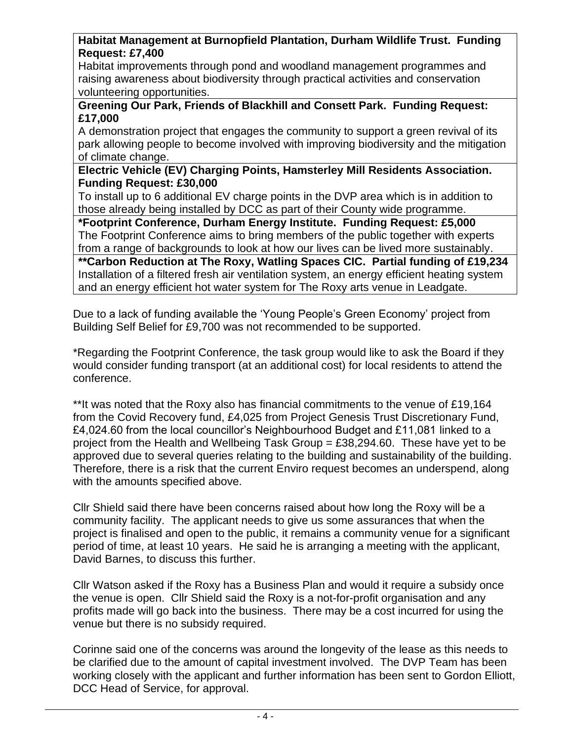# **Habitat Management at Burnopfield Plantation, Durham Wildlife Trust. Funding Request: £7,400**

Habitat improvements through pond and woodland management programmes and raising awareness about biodiversity through practical activities and conservation volunteering opportunities.

## **Greening Our Park, Friends of Blackhill and Consett Park. Funding Request: £17,000**

A demonstration project that engages the community to support a green revival of its park allowing people to become involved with improving biodiversity and the mitigation of climate change.

## **Electric Vehicle (EV) Charging Points, Hamsterley Mill Residents Association. Funding Request: £30,000**

To install up to 6 additional EV charge points in the DVP area which is in addition to those already being installed by DCC as part of their County wide programme.

**\*Footprint Conference, Durham Energy Institute. Funding Request: £5,000** The Footprint Conference aims to bring members of the public together with experts from a range of backgrounds to look at how our lives can be lived more sustainably.

**\*\*Carbon Reduction at The Roxy, Watling Spaces CIC. Partial funding of £19,234** Installation of a filtered fresh air ventilation system, an energy efficient heating system and an energy efficient hot water system for The Roxy arts venue in Leadgate.

Due to a lack of funding available the 'Young People's Green Economy' project from Building Self Belief for £9,700 was not recommended to be supported.

\*Regarding the Footprint Conference, the task group would like to ask the Board if they would consider funding transport (at an additional cost) for local residents to attend the conference.

\*\*It was noted that the Roxy also has financial commitments to the venue of £19,164 from the Covid Recovery fund, £4,025 from Project Genesis Trust Discretionary Fund, £4,024.60 from the local councillor's Neighbourhood Budget and £11,081 linked to a project from the Health and Wellbeing Task Group  $=$  £38,294.60. These have yet to be approved due to several queries relating to the building and sustainability of the building. Therefore, there is a risk that the current Enviro request becomes an underspend, along with the amounts specified above.

Cllr Shield said there have been concerns raised about how long the Roxy will be a community facility. The applicant needs to give us some assurances that when the project is finalised and open to the public, it remains a community venue for a significant period of time, at least 10 years. He said he is arranging a meeting with the applicant, David Barnes, to discuss this further.

Cllr Watson asked if the Roxy has a Business Plan and would it require a subsidy once the venue is open. Cllr Shield said the Roxy is a not-for-profit organisation and any profits made will go back into the business. There may be a cost incurred for using the venue but there is no subsidy required.

Corinne said one of the concerns was around the longevity of the lease as this needs to be clarified due to the amount of capital investment involved. The DVP Team has been working closely with the applicant and further information has been sent to Gordon Elliott, DCC Head of Service, for approval.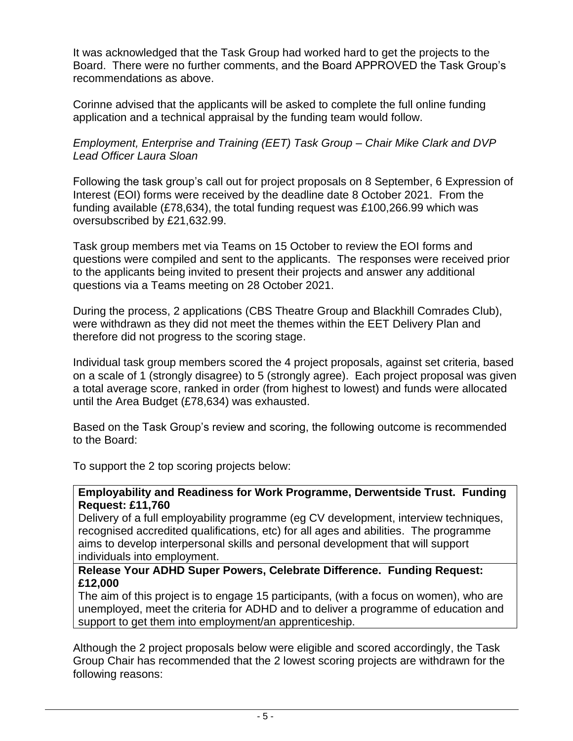It was acknowledged that the Task Group had worked hard to get the projects to the Board. There were no further comments, and the Board APPROVED the Task Group's recommendations as above.

Corinne advised that the applicants will be asked to complete the full online funding application and a technical appraisal by the funding team would follow.

# *Employment, Enterprise and Training (EET) Task Group – Chair Mike Clark and DVP Lead Officer Laura Sloan*

Following the task group's call out for project proposals on 8 September, 6 Expression of Interest (EOI) forms were received by the deadline date 8 October 2021. From the funding available (£78,634), the total funding request was £100,266.99 which was oversubscribed by £21,632.99.

Task group members met via Teams on 15 October to review the EOI forms and questions were compiled and sent to the applicants. The responses were received prior to the applicants being invited to present their projects and answer any additional questions via a Teams meeting on 28 October 2021.

During the process, 2 applications (CBS Theatre Group and Blackhill Comrades Club), were withdrawn as they did not meet the themes within the EET Delivery Plan and therefore did not progress to the scoring stage.

Individual task group members scored the 4 project proposals, against set criteria, based on a scale of 1 (strongly disagree) to 5 (strongly agree). Each project proposal was given a total average score, ranked in order (from highest to lowest) and funds were allocated until the Area Budget (£78,634) was exhausted.

Based on the Task Group's review and scoring, the following outcome is recommended to the Board:

To support the 2 top scoring projects below:

## **Employability and Readiness for Work Programme, Derwentside Trust. Funding Request: £11,760**

Delivery of a full employability programme (eg CV development, interview techniques, recognised accredited qualifications, etc) for all ages and abilities. The programme aims to develop interpersonal skills and personal development that will support individuals into employment.

## **Release Your ADHD Super Powers, Celebrate Difference. Funding Request: £12,000**

The aim of this project is to engage 15 participants, (with a focus on women), who are unemployed, meet the criteria for ADHD and to deliver a programme of education and support to get them into employment/an apprenticeship.

Although the 2 project proposals below were eligible and scored accordingly, the Task Group Chair has recommended that the 2 lowest scoring projects are withdrawn for the following reasons: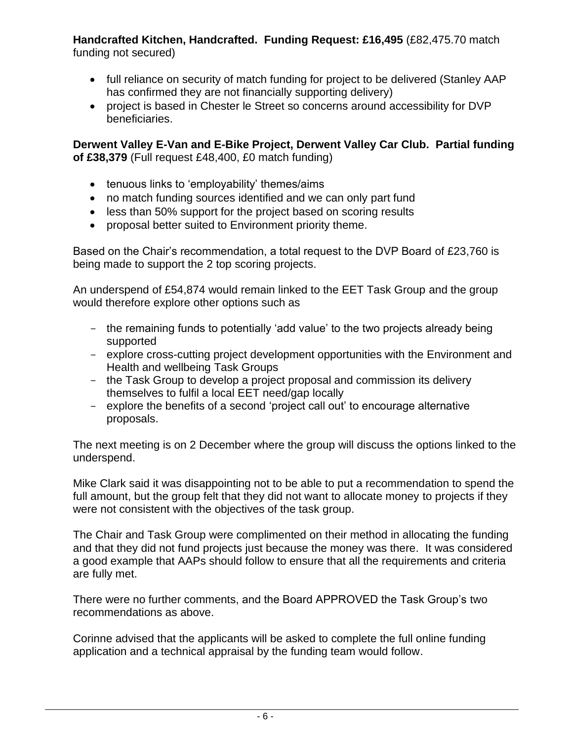**Handcrafted Kitchen, Handcrafted. Funding Request: £16,495** (£82,475.70 match funding not secured)

- full reliance on security of match funding for project to be delivered (Stanley AAP has confirmed they are not financially supporting delivery)
- project is based in Chester le Street so concerns around accessibility for DVP beneficiaries.

**Derwent Valley E-Van and E-Bike Project, Derwent Valley Car Club. Partial funding of £38,379** (Full request £48,400, £0 match funding)

- tenuous links to 'employability' themes/aims
- no match funding sources identified and we can only part fund
- less than 50% support for the project based on scoring results
- proposal better suited to Environment priority theme.

Based on the Chair's recommendation, a total request to the DVP Board of £23,760 is being made to support the 2 top scoring projects.

An underspend of £54,874 would remain linked to the EET Task Group and the group would therefore explore other options such as

- the remaining funds to potentially 'add value' to the two projects already being supported
- explore cross-cutting project development opportunities with the Environment and Health and wellbeing Task Groups
- the Task Group to develop a project proposal and commission its delivery themselves to fulfil a local EET need/gap locally
- explore the benefits of a second 'project call out' to encourage alternative proposals.

The next meeting is on 2 December where the group will discuss the options linked to the underspend.

Mike Clark said it was disappointing not to be able to put a recommendation to spend the full amount, but the group felt that they did not want to allocate money to projects if they were not consistent with the objectives of the task group.

The Chair and Task Group were complimented on their method in allocating the funding and that they did not fund projects just because the money was there. It was considered a good example that AAPs should follow to ensure that all the requirements and criteria are fully met.

There were no further comments, and the Board APPROVED the Task Group's two recommendations as above.

Corinne advised that the applicants will be asked to complete the full online funding application and a technical appraisal by the funding team would follow.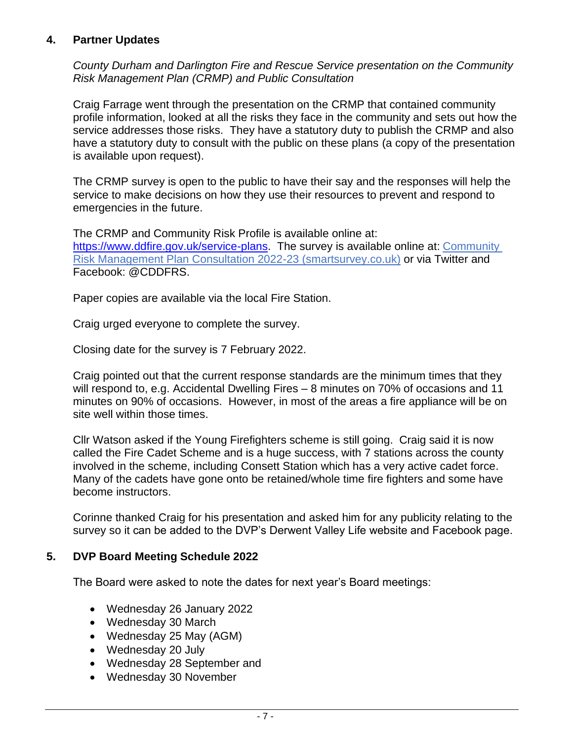# **4. Partner Updates**

*County Durham and Darlington Fire and Rescue Service presentation on the Community Risk Management Plan (CRMP) and Public Consultation*

Craig Farrage went through the presentation on the CRMP that contained community profile information, looked at all the risks they face in the community and sets out how the service addresses those risks. They have a statutory duty to publish the CRMP and also have a statutory duty to consult with the public on these plans (a copy of the presentation is available upon request).

The CRMP survey is open to the public to have their say and the responses will help the service to make decisions on how they use their resources to prevent and respond to emergencies in the future.

The CRMP and Community Risk Profile is available online at: [https://www.ddfire.gov.uk/service-plans.](https://www.ddfire.gov.uk/service-plans) The survey is available online at: Community [Risk Management Plan Consultation 2022-23 \(smartsurvey.co.uk\)](https://eur03.safelinks.protection.outlook.com/?url=https%3A%2F%2Fwww.smartsurvey.co.uk%2Fs%2Fcrmp_2022-23%2F&data=04%7C01%7Ccfarrage%40ddfire.gov.uk%7Cc6dc12c1f38742ddbcf208d9beeb9647%7C1441d9f60ea04c539e04b6a546923354%7C0%7C0%7C637750741312537115%7CUnknown%7CTWFpbGZsb3d8eyJWIjoiMC4wLjAwMDAiLCJQIjoiV2luMzIiLCJBTiI6Ik1haWwiLCJXVCI6Mn0%3D%7C3000&sdata=zGjx18xrZ4aBDjss2BT2vh8yNCGU7FKeXEdZmPpd9M8%3D&reserved=0) or via Twitter and Facebook: @CDDFRS.

Paper copies are available via the local Fire Station.

Craig urged everyone to complete the survey.

Closing date for the survey is 7 February 2022.

Craig pointed out that the current response standards are the minimum times that they will respond to, e.g. Accidental Dwelling Fires – 8 minutes on 70% of occasions and 11 minutes on 90% of occasions. However, in most of the areas a fire appliance will be on site well within those times.

Cllr Watson asked if the Young Firefighters scheme is still going. Craig said it is now called the Fire Cadet Scheme and is a huge success, with 7 stations across the county involved in the scheme, including Consett Station which has a very active cadet force. Many of the cadets have gone onto be retained/whole time fire fighters and some have become instructors.

Corinne thanked Craig for his presentation and asked him for any publicity relating to the survey so it can be added to the DVP's Derwent Valley Life website and Facebook page.

# **5. DVP Board Meeting Schedule 2022**

The Board were asked to note the dates for next year's Board meetings:

- Wednesday 26 January 2022
- Wednesday 30 March
- Wednesday 25 May (AGM)
- Wednesday 20 July
- Wednesday 28 September and
- Wednesday 30 November